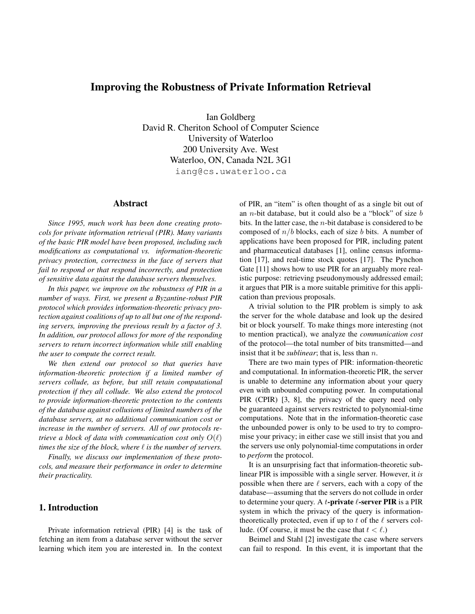# **Improving the Robustness of Private Information Retrieval**

Ian Goldberg David R. Cheriton School of Computer Science University of Waterloo 200 University Ave. West Waterloo, ON, Canada N2L 3G1 iang@cs.uwaterloo.ca

#### **Abstract**

*Since 1995, much work has been done creating protocols for private information retrieval (PIR). Many variants of the basic PIR model have been proposed, including such modifications as computational vs. information-theoretic privacy protection, correctness in the face of servers that fail to respond or that respond incorrectly, and protection of sensitive data against the database servers themselves.*

*In this paper, we improve on the robustness of PIR in a number of ways. First, we present a Byzantine-robust PIR protocol which provides information-theoretic privacy protection against coalitions of up to all but one of the responding servers, improving the previous result by a factor of 3. In addition, our protocol allows for more of the responding servers to return incorrect information while still enabling the user to compute the correct result.*

*We then extend our protocol so that queries have information-theoretic protection if a limited number of servers collude, as before, but still retain computational protection if they all collude. We also extend the protocol to provide information-theoretic protection to the contents of the database against collusions of limited numbers of the database servers, at no additional communication cost or increase in the number of servers. All of our protocols retrieve a block of data with communication cost only*  $O(\ell)$ *times the size of the block, where*  $\ell$  *is the number of servers.* 

*Finally, we discuss our implementation of these protocols, and measure their performance in order to determine their practicality.*

# **1. Introduction**

Private information retrieval (PIR) [4] is the task of fetching an item from a database server without the server learning which item you are interested in. In the context of PIR, an "item" is often thought of as a single bit out of an *n*-bit database, but it could also be a "block" of size  $b$ bits. In the latter case, the  $n$ -bit database is considered to be composed of  $n/b$  blocks, each of size b bits. A number of applications have been proposed for PIR, including patent and pharmaceutical databases [1], online census information [17], and real-time stock quotes [17]. The Pynchon Gate [11] shows how to use PIR for an arguably more realistic purpose: retrieving pseudonymously addressed email; it argues that PIR is a more suitable primitive for this application than previous proposals.

A trivial solution to the PIR problem is simply to ask the server for the whole database and look up the desired bit or block yourself. To make things more interesting (not to mention practical), we analyze the *communication cost* of the protocol—the total number of bits transmitted—and insist that it be *sublinear*; that is, less than n.

There are two main types of PIR: information-theoretic and computational. In information-theoretic PIR, the server is unable to determine any information about your query even with unbounded computing power. In computational PIR (CPIR) [3, 8], the privacy of the query need only be guaranteed against servers restricted to polynomial-time computations. Note that in the information-theoretic case the unbounded power is only to be used to try to compromise your privacy; in either case we still insist that you and the servers use only polynomial-time computations in order to *perform* the protocol.

It is an unsurprising fact that information-theoretic sublinear PIR is impossible with a single server. However, it *is* possible when there are  $\ell$  servers, each with a copy of the database—assuming that the servers do not collude in order to determine your query. A t**-private** ℓ**-server PIR** is a PIR system in which the privacy of the query is informationtheoretically protected, even if up to  $t$  of the  $\ell$  servers collude. (Of course, it must be the case that  $t < l$ .)

Beimel and Stahl [2] investigate the case where servers can fail to respond. In this event, it is important that the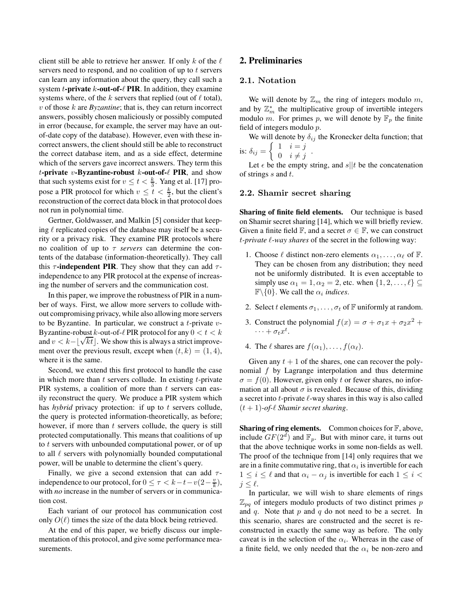client still be able to retrieve her answer. If only k of the  $\ell$ servers need to respond, and no coalition of up to  $t$  servers can learn any information about the query, they call such a system t**-private** k**-out-of-**ℓ **PIR**. In addition, they examine systems where, of the k servers that replied (out of  $\ell$  total),  $v$  of those  $k$  are *Byzantine*; that is, they can return incorrect answers, possibly chosen maliciously or possibly computed in error (because, for example, the server may have an outof-date copy of the database). However, even with these incorrect answers, the client should still be able to reconstruct the correct database item, and as a side effect, determine which of the servers gave incorrect answers. They term this t**-private** v**-Byzantine-robust** k**-out-of-**ℓ **PIR**, and show that such systems exist for  $v \le t < \frac{k}{3}$ . Yang et al. [17] propose a PIR protocol for which  $v \le t < \frac{k}{2}$ , but the client's reconstruction of the correct data block in that protocol does not run in polynomial time.

Gertner, Goldwasser, and Malkin [5] consider that keeping  $\ell$  replicated copies of the database may itself be a security or a privacy risk. They examine PIR protocols where no coalition of up to τ *servers* can determine the contents of the database (information-theoretically). They call this  $\tau$ **-independent PIR**. They show that they can add  $\tau$ independence to any PIR protocol at the expense of increasing the number of servers and the communication cost.

In this paper, we improve the robustness of PIR in a number of ways. First, we allow more servers to collude without compromising privacy, while also allowing more servers to be Byzantine. In particular, we construct a t-private  $v$ -Byzantine-robust k-out-of- $\ell$  PIR protocol for any  $0 < t < k$  $\omega$ , and  $v < k - \lfloor \sqrt{k}t \rfloor$ . We show this is always a strict improvement over the previous result, except when  $(t, k) = (1, 4)$ , where it is the same.

Second, we extend this first protocol to handle the case in which more than  $t$  servers collude. In existing  $t$ -private PIR systems, a coalition of more than  $t$  servers can easily reconstruct the query. We produce a PIR system which has *hybrid* privacy protection: if up to t servers collude, the query is protected information-theoretically, as before; however, if more than  $t$  servers collude, the query is still protected computationally. This means that coalitions of up to t servers with unbounded computational power, or of up to all  $\ell$  servers with polynomially bounded computational power, will be unable to determine the client's query.

Finally, we give a second extension that can add  $\tau$ independence to our protocol, for  $0 \leq \tau < k - t - v(2 - \frac{v}{k}),$ with *no* increase in the number of servers or in communication cost.

Each variant of our protocol has communication cost only  $O(\ell)$  times the size of the data block being retrieved.

At the end of this paper, we briefly discuss our implementation of this protocol, and give some performance measurements.

# **2. Preliminaries**

# 2.1. Notation

We will denote by  $\mathbb{Z}_m$  the ring of integers modulo m, and by  $\mathbb{Z}_m^*$  the multiplicative group of invertible integers modulo m. For primes p, we will denote by  $\mathbb{F}_p$  the finite field of integers modulo p.

We will denote by  $\delta_{ij}$  the Kronecker delta function; that is:  $\delta_{ij} = \begin{cases} 1 & i = j \\ 0 & i \neq j \end{cases}$  $\begin{array}{cc} 1 & i-j \\ 0 & i \neq j \end{array}$ 

Let  $\epsilon$  be the empty string, and  $s||t$  be the concatenation of strings  $s$  and  $t$ .

#### 2.2. Shamir secret sharing

**Sharing of finite field elements.** Our technique is based on Shamir secret sharing [14], which we will briefly review. Given a finite field  $\mathbb{F}$ , and a secret  $\sigma \in \mathbb{F}$ , we can construct t*-private* ℓ*-way shares* of the secret in the following way:

- 1. Choose  $\ell$  distinct non-zero elements  $\alpha_1, \ldots, \alpha_\ell$  of  $\mathbb{F}$ . They can be chosen from any distribution; they need not be uniformly distributed. It is even acceptable to simply use  $\alpha_1 = 1, \alpha_2 = 2$ , etc. when  $\{1, 2, \ldots, \ell\} \subseteq$  $\mathbb{F}\backslash\{0\}$ . We call the  $\alpha_i$  *indices*.
- 2. Select t elements  $\sigma_1, \ldots, \sigma_t$  of  $\mathbb F$  uniformly at random.
- 3. Construct the polynomial  $f(x) = \sigma + \sigma_1 x + \sigma_2 x^2 +$  $\cdots + \sigma_t x^t$ .
- 4. The  $\ell$  shares are  $f(\alpha_1), \ldots, f(\alpha_\ell)$ .

Given any  $t + 1$  of the shares, one can recover the polynomial  $f$  by Lagrange interpolation and thus determine  $\sigma = f(0)$ . However, given only t or fewer shares, no information at all about  $\sigma$  is revealed. Because of this, dividing a secret into  $t$ -private  $\ell$ -way shares in this way is also called (t + 1)*-of-*ℓ *Shamir secret sharing*.

**Sharing of ring elements.** Common choices for  $\mathbb{F}$ , above, include  $GF(2^{\overline{d}})$  and  $\mathbb{F}_p$ . But with minor care, it turns out that the above technique works in some non-fields as well. The proof of the technique from [14] only requires that we are in a finite commutative ring, that  $\alpha_i$  is invertible for each  $1 \leq i \leq \ell$  and that  $\alpha_i - \alpha_j$  is invertible for each  $1 \leq i <$  $j \leq \ell$ .

In particular, we will wish to share elements of rings  $\mathbb{Z}_{pq}$  of integers modulo products of two distinct primes p and  $q$ . Note that  $p$  and  $q$  do not need to be a secret. In this scenario, shares are constructed and the secret is reconstructed in exactly the same way as before. The only caveat is in the selection of the  $\alpha_i$ . Whereas in the case of a finite field, we only needed that the  $\alpha_i$  be non-zero and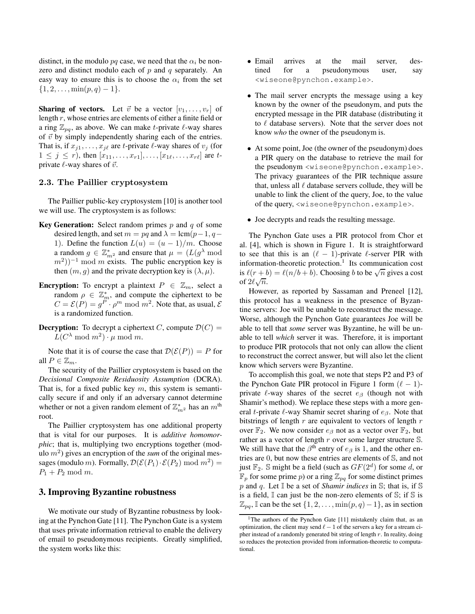distinct, in the modulo pq case, we need that the  $\alpha_i$  be nonzero and distinct modulo each of  $p$  and  $q$  separately. An easy way to ensure this is to choose the  $\alpha_i$  from the set  $\{1, 2, \ldots, \min(p, q) - 1\}.$ 

**Sharing of vectors.** Let  $\vec{v}$  be a vector  $[v_1, \ldots, v_r]$  of length r, whose entries are elements of either a finite field or a ring  $\mathbb{Z}_{pq}$ , as above. We can make t-private  $\ell$ -way shares of  $\vec{v}$  by simply independently sharing each of the entries. That is, if  $x_{j1}, \ldots, x_{j\ell}$  are t-private  $\ell$ -way shares of  $v_j$  (for  $1 \leq j \leq r$ , then  $[x_{11},...,x_{r1}],...,[x_{1\ell},...,x_{r\ell}]$  are tprivate  $\ell$ -way shares of  $\vec{v}$ .

# 2.3. The Paillier cryptosystem

The Paillier public-key cryptosystem [10] is another tool we will use. The cryptosystem is as follows:

- **Key Generation:** Select random primes p and q of some desired length, and set  $m = pq$  and  $\lambda = \text{lcm}(p-1, q-\text{l})$ 1). Define the function  $L(u) = (u - 1)/m$ . Choose a random  $g \in \mathbb{Z}_{m^2}^*$  and ensure that  $\mu = (L(g^{\lambda} \bmod$  $(m^2)$ )<sup>-1</sup> mod m exists. The public encryption key is then  $(m, g)$  and the private decryption key is  $(\lambda, \mu)$ .
- **Encryption:** To encrypt a plaintext  $P \in \mathbb{Z}_m$ , select a random  $\rho \in \mathbb{Z}_m^*$ , and compute the ciphertext to be  $C = \mathcal{E}(P) = g^P \cdot \rho^m \text{ mod } m^2$ . Note that, as usual,  $\mathcal{E}$ is a randomized function.
- **Decryption:** To decrypt a ciphertext C, compute  $\mathcal{D}(C)$  =  $L(C^{\lambda} \mod m^2) \cdot \mu \mod m$ .

Note that it is of course the case that  $\mathcal{D}(\mathcal{E}(P)) = P$  for all  $P \in \mathbb{Z}_m$ .

The security of the Paillier cryptosystem is based on the *Decisional Composite Residuosity Assumption* (DCRA). That is, for a fixed public key  $m$ , this system is semantically secure if and only if an adversary cannot determine whether or not a given random element of  $\mathbb{Z}_{m^2}^*$  has an  $m^{\text{th}}$ root.

The Paillier cryptosystem has one additional property that is vital for our purposes. It is *additive homomorphic*; that is, multiplying two encryptions together (modulo  $m<sup>2</sup>$ ) gives an encryption of the *sum* of the original messages (modulo *m*). Formally,  $\mathcal{D}(\mathcal{E}(P_1) \cdot \mathcal{E}(P_2) \mod m^2)$  =  $P_1 + P_2 \text{ mod } m.$ 

## **3. Improving Byzantine robustness**

We motivate our study of Byzantine robustness by looking at the Pynchon Gate [11]. The Pynchon Gate is a system that uses private information retrieval to enable the delivery of email to pseudonymous recipients. Greatly simplified, the system works like this:

- Email arrives at the mail server, destined for a pseudonymous user, say <wiseone@pynchon.example>.
- The mail server encrypts the message using a key known by the owner of the pseudonym, and puts the encrypted message in the PIR database (distributing it to  $\ell$  database servers). Note that the server does not know *who* the owner of the pseudonym is.
- At some point, Joe (the owner of the pseudonym) does a PIR query on the database to retrieve the mail for the pseudonym <wiseone@pynchon.example>. The privacy guarantees of the PIR technique assure that, unless all  $\ell$  database servers collude, they will be unable to link the client of the query, Joe, to the value of the query, <wiseone@pynchon.example>.
- Joe decrypts and reads the resulting message.

The Pynchon Gate uses a PIR protocol from Chor et al. [4], which is shown in Figure 1. It is straightforward to see that this is an  $(\ell - 1)$ -private  $\ell$ -server PIR with information-theoretic protection.<sup>1</sup> Its communication cost is  $\ell(r+b) = \ell(n/b + b)$ . Choosing b to be  $\sqrt{n}$  gives a cost of  $2\ell\sqrt{n}$ .

However, as reported by Sassaman and Preneel [12], this protocol has a weakness in the presence of Byzantine servers: Joe will be unable to reconstruct the message. Worse, although the Pynchon Gate guarantees Joe will be able to tell that *some* server was Byzantine, he will be unable to tell *which* server it was. Therefore, it is important to produce PIR protocols that not only can allow the client to reconstruct the correct answer, but will also let the client know which servers were Byzantine.

To accomplish this goal, we note that steps P2 and P3 of the Pynchon Gate PIR protocol in Figure 1 form  $(\ell - 1)$ private  $\ell$ -way shares of the secret  $e_{\beta}$  (though not with Shamir's method). We replace these steps with a more general t-private  $\ell$ -way Shamir secret sharing of  $e_{\beta}$ . Note that bitstrings of length  $r$  are equivalent to vectors of length  $r$ over  $\mathbb{F}_2$ . We now consider  $e_\beta$  not as a vector over  $\mathbb{F}_2$ , but rather as a vector of length  $r$  over some larger structure  $\mathbb{S}$ . We still have that the  $\beta^{th}$  entry of  $e_{\beta}$  is 1, and the other entries are 0, but now these entries are elements of S, and not just  $\mathbb{F}_2$ . S might be a field (such as  $GF(2^d)$  for some d, or  $\mathbb{F}_p$  for some prime p) or a ring  $\mathbb{Z}_{pq}$  for some distinct primes p and q. Let I be a set of *Shamir indices* in S; that is, if S is a field,  $\mathbb I$  can just be the non-zero elements of  $\mathbb S$ ; if  $\mathbb S$  is  $\mathbb{Z}_{pq}$ , I can be the set  $\{1, 2, \ldots, \min(p, q) - 1\}$ , as in section

<sup>&</sup>lt;sup>1</sup>The authors of the Pynchon Gate [11] mistakenly claim that, as an optimization, the client may send  $\ell - 1$  of the servers a key for a stream cipher instead of a randomly generated bit string of length  $r$ . In reality, doing so reduces the protection provided from information-theoretic to computational.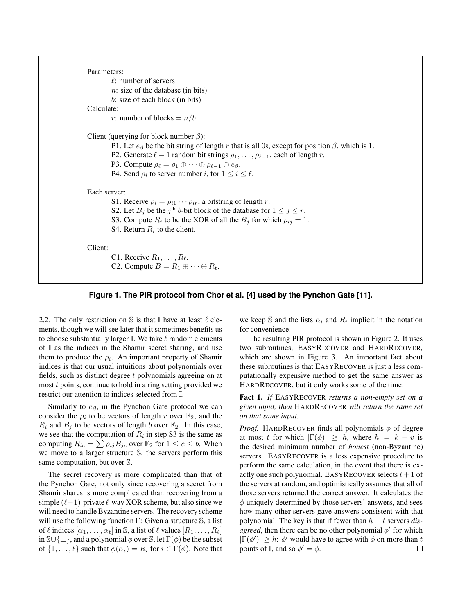```
Parameters:
         \ell: number of servers
         n: size of the database (in bits)
         b: size of each block (in bits)
Calculate:
         r: number of blocks = n/bClient (querying for block number \beta):
         P1. Let e_{\beta} be the bit string of length r that is all 0s, except for position \beta, which is 1.
         P2. Generate \ell - 1 random bit strings \rho_1, \ldots, \rho_{\ell-1}, each of length r.
         P3. Compute \rho_{\ell} = \rho_1 \oplus \cdots \oplus \rho_{\ell-1} \oplus e_{\beta}.
          P4. Send \rho_i to server number i, for 1 \leq i \leq \ell.
Each server:
         S1. Receive \rho_i = \rho_{i1} \cdots \rho_{ir}, a bitstring of length r.
          S2. Let B_j be the j<sup>th</sup> b-bit block of the database for 1 \le j \le r.
          S3. Compute R_i to be the XOR of all the B_j for which \rho_{ij} = 1.
          S4. Return R_i to the client.
Client:
         C1. Receive R_1, \ldots, R_\ell.
         C2. Compute B = R_1 \oplus \cdots \oplus R_\ell.
```


2.2. The only restriction on S is that  $\mathbb I$  have at least  $\ell$  elements, though we will see later that it sometimes benefits us to choose substantially larger  $\mathbb{I}$ . We take  $\ell$  random elements of I as the indices in the Shamir secret sharing, and use them to produce the  $\rho_i$ . An important property of Shamir indices is that our usual intuitions about polynomials over fields, such as distinct degree t polynomials agreeing on at most t points, continue to hold in a ring setting provided we restrict our attention to indices selected from I.

Similarly to  $e_{\beta}$ , in the Pynchon Gate protocol we can consider the  $\rho_i$  to be vectors of length r over  $\mathbb{F}_2$ , and the  $R_i$  and  $B_j$  to be vectors of length b over  $\mathbb{F}_2$ . In this case, we see that the computation of  $R_i$  in step S3 is the same as computing  $R_{ic} = \sum \rho_{ij} B_{jc}$  over  $\mathbb{F}_2$  for  $1 \le c \le b$ . When we move to a larger structure S, the servers perform this same computation, but over S.

The secret recovery is more complicated than that of the Pynchon Gate, not only since recovering a secret from Shamir shares is more complicated than recovering from a simple  $(\ell-1)$ -private  $\ell$ -way XOR scheme, but also since we will need to handle Byzantine servers. The recovery scheme will use the following function  $\Gamma$ : Given a structure  $\mathbb{S}$ , a list of  $\ell$  indices  $[\alpha_1, \ldots, \alpha_\ell]$  in S, a list of  $\ell$  values  $[R_1, \ldots, R_\ell]$ in  $\mathbb{S}\cup\{\perp\}$ , and a polynomial  $\phi$  over  $\mathbb{S}$ , let  $\Gamma(\phi)$  be the subset of  $\{1, \ldots, \ell\}$  such that  $\phi(\alpha_i) = R_i$  for  $i \in \Gamma(\phi)$ . Note that

we keep S and the lists  $\alpha_i$  and  $R_i$  implicit in the notation for convenience.

The resulting PIR protocol is shown in Figure 2. It uses two subroutines, EASYRECOVER and HARDRECOVER, which are shown in Figure 3. An important fact about these subroutines is that EASYRECOVER is just a less computationally expensive method to get the same answer as HARDRECOVER, but it only works some of the time:

**Fact 1.** *If* EASYRECOVER *returns a non-empty set on a given input, then* HARDRECOVER *will return the same set on that same input.*

*Proof.* HARDRECOVER finds all polynomials  $\phi$  of degree at most t for which  $|\Gamma(\phi)| \geq h$ , where  $h = k - v$  is the desired minimum number of *honest* (non-Byzantine) servers. EASYRECOVER is a less expensive procedure to perform the same calculation, in the event that there is exactly one such polynomial. EASYRECOVER selects  $t + 1$  of the servers at random, and optimistically assumes that all of those servers returned the correct answer. It calculates the  $\phi$  uniquely determined by those servers' answers, and sees how many other servers gave answers consistent with that polynomial. The key is that if fewer than h − t servers *disagreed*, then there can be no other polynomial  $\phi'$  for which  $|\Gamma(\phi')| \geq h$ :  $\phi'$  would have to agree with  $\phi$  on more than  $t$ points of  $\mathbb{I}$ , and so  $\phi' = \phi$ .  $\Box$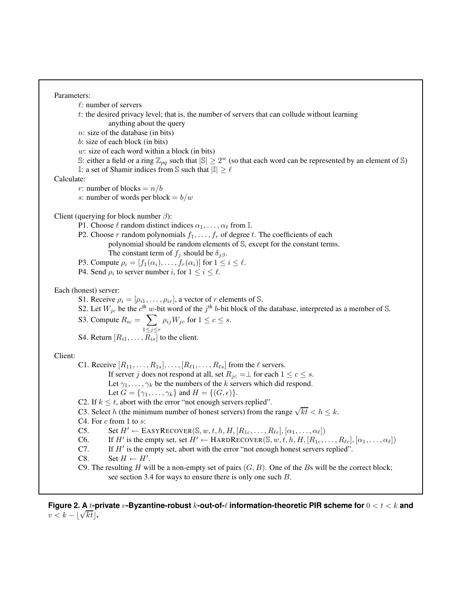#### Parameters:

 $\ell$ : number of servers

 $t$ : the desired privacy level; that is, the number of servers that can collude without learning anything about the query

n: size of the database (in bits)

b: size of each block (in bits)

w: size of each word within a block (in bits)

S: either a field or a ring  $\mathbb{Z}_{pq}$  such that  $|\mathbb{S}| \geq 2^w$  (so that each word can be represented by an element of S) <sup>I</sup>: a set of Shamir indices from <sup>S</sup> such that <sup>|</sup>I| ≥ <sup>ℓ</sup>

Calculate:

r: number of blocks =  $n/b$ 

s: number of words per block =  $b/w$ 

Client (querying for block number  $\beta$ ):

P1. Choose  $\ell$  random distinct indices  $\alpha_1, \ldots, \alpha_\ell$  from  $\mathbb{I}$ .

P2. Choose r random polynomials  $f_1, \ldots, f_r$  of degree t. The coefficients of each polynomial should be random elements of S, except for the constant terms.

The constant term of  $f_i$  should be  $\delta_{i\beta}$ .

- P3. Compute  $\rho_i = [f_1(\alpha_i), \dots, f_r(\alpha_i)]$  for  $1 \le i \le \ell$ .
- P4. Send  $\rho_i$  to server number i, for  $1 \leq i \leq \ell$ .

## Each (honest) server:

- S1. Receive  $\rho_i = [\rho_{i1}, \dots, \rho_{ir}]$ , a vector of r elements of S.
- S2. Let  $W_{jc}$  be the  $c^{\text{th}}$  w-bit word of the  $j^{\text{th}}$  b-bit block of the database, interpreted as a member of S.

S3. Compute 
$$
R_{ic} = \sum_{1 \le j \le r} \rho_{ij} W_{jc}
$$
 for  $1 \le c \le s$ .

S4. Return  $[R_{i1}, \ldots, R_{is}]$  to the client.

Client:

C1. Receive  $[R_{11}, \ldots, R_{1s}], \ldots, [R_{\ell 1}, \ldots, R_{\ell s}]$  from the  $\ell$  servers.

If server j does not respond at all, set  $R_{jc} = \perp$  for each  $1 \leq c \leq s$ .

Let  $\gamma_1, \ldots, \gamma_k$  be the numbers of the k servers which did respond.

Let  $G = {\gamma_1, \ldots, \gamma_k}$  and  $H = \{(G, \epsilon)\}.$ 

C2. If  $k \leq t$ , abort with the error "not enough servers replied".

C3. Select h (the minimum number of honest servers) from the range  $\sqrt{kt} < h \le k$ .

C4. For  $c$  from 1 to  $s$ :

C5. Set  $H' \leftarrow$  EASYRECOVER( $\mathbb{S}, w, t, h, H, [R_{1c}, \ldots, R_{\ell c}], [\alpha_1, \ldots, \alpha_{\ell}]$ )<br>C6. If  $H'$  is the empty set, set  $H' \leftarrow$  HARDRECOVER( $\mathbb{S}, w, t, h, H, [R_{1c}, \ldots]$ 

C6. If H' is the empty set, set  $H' \leftarrow \text{HARDRECover}(\mathbb{S}, w, t, h, H, [R_{1c}, \ldots, R_{\ell c}], [\alpha_1, \ldots, \alpha_\ell])$ 

C7. If  $H'$  is the empty set, abort with the error "not enough honest servers replied".

C8. Set  $H \leftarrow H'$ .

C9. The resulting H will be a non-empty set of pairs  $(G, B)$ . One of the Bs will be the correct block; see section 3.4 for ways to ensure there is only one such B.

**Figure 2. A** t**-private** v**-Byzantine-robust** k**-out-of-**ℓ **information-theoretic PIR scheme for** 0 < t < k **and**  $v < k - \lfloor \sqrt{kt} \rfloor$ .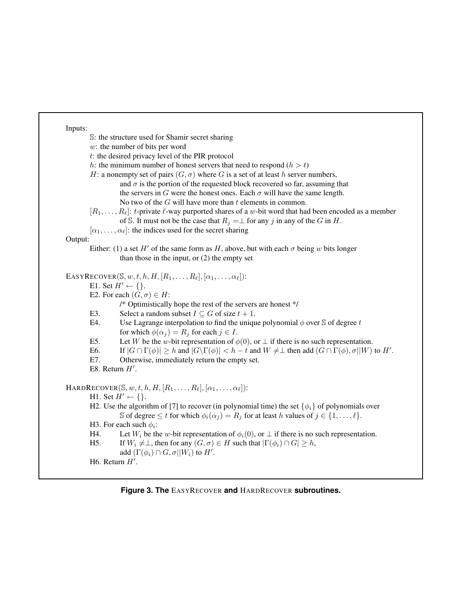Inputs:

S: the structure used for Shamir secret sharing w: the number of bits per word t: the desired privacy level of the PIR protocol h: the minimum number of honest servers that need to respond  $(h > t)$ H: a nonempty set of pairs  $(G, \sigma)$  where G is a set of at least h server numbers, and  $\sigma$  is the portion of the requested block recovered so far, assuming that the servers in G were the honest ones. Each  $\sigma$  will have the same length. No two of the  $G$  will have more than  $t$  elements in common.  $[R_1, \ldots, R_\ell]$ : t-private  $\ell$ -way purported shares of a w-bit word that had been encoded as a member of S. It must not be the case that  $R_i = \perp$  for any j in any of the G in H.  $[\alpha_1, \ldots, \alpha_\ell]$ : the indices used for the secret sharing Output: Either: (1) a set H' of the same form as H, above, but with each  $\sigma$  being w bits longer than those in the input, or (2) the empty set EASYRECOVER $(S, w, t, h, H, [R_1, \ldots, R_\ell], [\alpha_1, \ldots, \alpha_\ell])$ : E1. Set  $H' \leftarrow \{\}.$ E2. For each  $(G, \sigma) \in H$ : /\* Optimistically hope the rest of the servers are honest \*/ E3. Select a random subset  $I \subseteq G$  of size  $t + 1$ .<br>E4. Use Lagrange interpolation to find the unique Use Lagrange interpolation to find the unique polynomial  $\phi$  over S of degree t for which  $\phi(\alpha_i) = R_i$  for each  $j \in I$ . E5. Let W be the w-bit representation of  $\phi(0)$ , or  $\perp$  if there is no such representation.<br>E6. If  $|G \cap \Gamma(\phi)| > h$  and  $|G \backslash \Gamma(\phi)| < h - t$  and  $W \neq \perp$  then add  $(G \cap \Gamma(\phi), \sigma||W)$ E6. If  $|G \cap \Gamma(\phi)| \geq h$  and  $|G \backslash \Gamma(\phi)| < h - t$  and  $W \neq \perp$  then add  $(G \cap \Gamma(\phi), \sigma||W)$  to  $H'$ . E7. Otherwise, immediately return the empty set. E8. Return  $H'$ .  $HARDRECOVER(S, w, t, h, H, [R_1, \ldots, R_\ell], [\alpha_1, \ldots, \alpha_\ell])$ : H1. Set  $H' \leftarrow \{\}.$ H2. Use the algorithm of [7] to recover (in polynomial time) the set  $\{\phi_i\}$  of polynomials over S of degree  $\leq t$  for which  $\phi_i(\alpha_j) = R_j$  for at least h values of  $j \in \{1, \ldots, \ell\}$ . H3. For each such  $\phi_i$ : H4. Let  $W_i$  be the w-bit representation of  $\phi_i(0)$ , or  $\perp$  if there is no such representation.<br>H5. If  $W_i \neq \perp$ , then for any  $(G, \sigma) \in H$  such that  $|\Gamma(\phi_i) \cap G| \geq h$ , If  $W_i \neq \perp$ , then for any  $(G, \sigma) \in H$  such that  $|\Gamma(\phi_i) \cap G| \geq h$ ,

```
add (\Gamma(\phi_i) \cap G, \sigma || W_i) to H'.
```
H6. Return  $H'$ .

**Figure 3. The** EASYRECOVER **and** HARDRECOVER **subroutines.**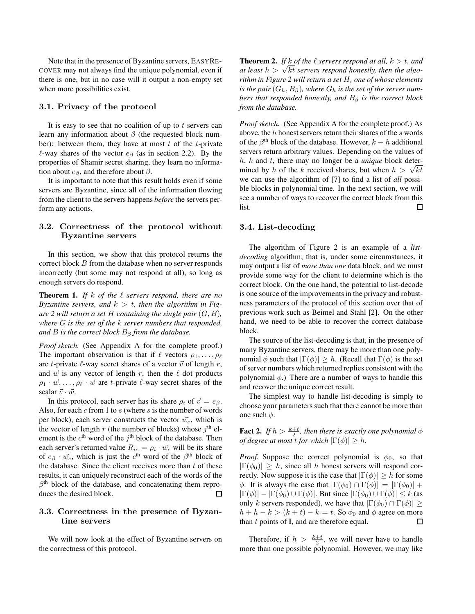Note that in the presence of Byzantine servers, EASYRE-COVER may not always find the unique polynomial, even if there is one, but in no case will it output a non-empty set when more possibilities exist.

## 3.1. Privacy of the protocol

It is easy to see that no coalition of up to  $t$  servers can learn any information about  $\beta$  (the requested block number): between them, they have at most  $t$  of the  $t$ -private  $\ell$ -way shares of the vector  $e_\beta$  (as in section 2.2). By the properties of Shamir secret sharing, they learn no information about  $e_{\beta}$ , and therefore about  $\beta$ .

It is important to note that this result holds even if some servers are Byzantine, since all of the information flowing from the client to the servers happens *before* the servers perform any actions.

# 3.2. Correctness of the protocol without Byzantine servers

In this section, we show that this protocol returns the correct block B from the database when no server responds incorrectly (but some may not respond at all), so long as enough servers do respond.

**Theorem 1.** *If* k *of the* ℓ *servers respond, there are no Byzantine servers, and*  $k > t$ , then the algorithm in Fig*ure* 2 will return a set  $H$  *containing the single pair*  $(G, B)$ *, where* G *is the set of the* k *server numbers that responded, and B is the correct block*  $B_\beta$  *from the database.* 

*Proof sketch.* (See Appendix A for the complete proof.) The important observation is that if  $\ell$  vectors  $\rho_1, \ldots, \rho_\ell$ are t-private  $\ell$ -way secret shares of a vector  $\vec{v}$  of length r, and  $\vec{w}$  is any vector of length r, then the  $\ell$  dot products  $\rho_1 \cdot \vec{w}, \ldots, \rho_\ell \cdot \vec{w}$  are t-private  $\ell$ -way secret shares of the scalar  $\vec{v} \cdot \vec{w}$ .

In this protocol, each server has its share  $\rho_i$  of  $\vec{v} = e_{\beta}$ . Also, for each  $c$  from 1 to  $s$  (where  $s$  is the number of words per block), each server constructs the vector  $\vec{w_c}$ , which is the vector of length r (the number of blocks) whose  $j<sup>th</sup>$  element is the  $c^{\text{th}}$  word of the  $j^{\text{th}}$  block of the database. Then each server's returned value  $R_{ic} = \rho_i \cdot \vec{w_c}$  will be its share of  $e_{\beta} \cdot \vec{w_c}$ , which is just the  $c^{\text{th}}$  word of the  $\beta^{\text{th}}$  block of the database. Since the client receives more than  $t$  of these results, it can uniquely reconstruct each of the words of the  $\beta$ <sup>th</sup> block of the database, and concatenating them reproduces the desired block.  $\Box$ 

### 3.3. Correctness in the presence of Byzantine servers

We will now look at the effect of Byzantine servers on the correctness of this protocol.

**Theorem 2.** If k of the  $\ell$  servers respond at all,  $k > t$ , and *at least*  $h > \sqrt{kt}$  *servers respond honestly, then the algorithm in Figure 2 will return a set* H*, one of whose elements is the pair*  $(G_h, B_\beta)$ *, where*  $G_h$  *is the set of the server numbers that responded honestly, and*  $B_\beta$  *is the correct block from the database.*

*Proof sketch.* (See Appendix A for the complete proof.) As above, the  $h$  honest servers return their shares of the  $s$  words of the  $\beta^{\text{th}}$  block of the database. However,  $k - h$  additional servers return arbitrary values. Depending on the values of h, k and t, there may no longer be a *unique* block determined by h of the k received shares, but when  $h > \sqrt{kt}$ we can use the algorithm of [7] to find a list of *all* possible blocks in polynomial time. In the next section, we will see a number of ways to recover the correct block from this list. □

#### 3.4. List-decoding

The algorithm of Figure 2 is an example of a *listdecoding* algorithm; that is, under some circumstances, it may output a list of *more than one* data block, and we must provide some way for the client to determine which is the correct block. On the one hand, the potential to list-decode is one source of the improvements in the privacy and robustness parameters of the protocol of this section over that of previous work such as Beimel and Stahl [2]. On the other hand, we need to be able to recover the correct database block.

The source of the list-decoding is that, in the presence of many Byzantine servers, there may be more than one polynomial  $\phi$  such that  $|\Gamma(\phi)| \geq h$ . (Recall that  $\Gamma(\phi)$  is the set of server numbers which returned replies consistent with the polynomial  $\phi$ .) There are a number of ways to handle this and recover the unique correct result.

The simplest way to handle list-decoding is simply to choose your parameters such that there cannot be more than one such  $\phi$ .

**Fact 2.** *If*  $h > \frac{k+t}{2}$ , then there is exactly one polynomial  $\phi$ *of degree at most t for which*  $|\Gamma(\phi)| \geq h$ .

*Proof.* Suppose the correct polynomial is  $\phi_0$ , so that  $|\Gamma(\phi_0)| > h$ , since all h honest servers will respond correctly. Now suppose it is the case that  $|\Gamma(\phi)| \geq h$  for some  $\phi$ . It is always the case that  $|\Gamma(\phi_0) \cap \Gamma(\phi)| = |\Gamma(\phi_0)| +$  $|\Gamma(\phi)| - |\Gamma(\phi_0) \cup \Gamma(\phi)|$ . But since  $|\Gamma(\phi_0) \cup \Gamma(\phi)| \leq k$  (as only k servers responded), we have that  $|\Gamma(\phi_0) \cap \Gamma(\phi)| \ge$  $h + h - k > (k + t) - k = t$ . So  $\phi_0$  and  $\phi$  agree on more<br>than t points of  $\mathbb{I}$ , and are therefore equal. than  $t$  points of  $\mathbb{I}$ , and are therefore equal.

Therefore, if  $h > \frac{k+t}{2}$ , we will never have to handle more than one possible polynomial. However, we may like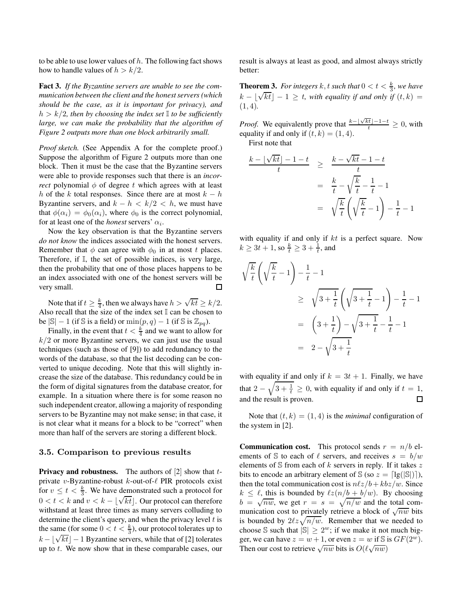to be able to use lower values of  $h$ . The following fact shows how to handle values of  $h > k/2$ .

**Fact 3.** *If the Byzantine servers are unable to see the communication between the client and the honest servers (which should be the case, as it is important for privacy), and*  $h > k/2$ , then by choosing the index set  $\mathbb{I}$  to be sufficiently *large, we can make the probability that the algorithm of Figure 2 outputs more than one block arbitrarily small.*

*Proof sketch.* (See Appendix A for the complete proof.) Suppose the algorithm of Figure 2 outputs more than one block. Then it must be the case that the Byzantine servers were able to provide responses such that there is an *incorrect* polynomial  $\phi$  of degree t which agrees with at least h of the k total responses. Since there are at most  $k - h$ Byzantine servers, and  $k - h < k/2 < h$ , we must have that  $\phi(\alpha_i) = \phi_0(\alpha_i)$ , where  $\phi_0$  is the correct polynomial, for at least one of the *honest* servers'  $\alpha_i$ .

Now the key observation is that the Byzantine servers *do not know* the indices associated with the honest servers. Remember that  $\phi$  can agree with  $\phi_0$  in at most t places. Therefore, if I, the set of possible indices, is very large, then the probability that one of those places happens to be an index associated with one of the honest servers will be  $\Box$ very small.

Note that if  $t \geq \frac{k}{4}$ , then we always have  $h > \sqrt{kt} \geq k/2$ . Also recall that the size of the index set  $\mathbb I$  can be chosen to be  $|\mathbb{S}| - 1$  (if  $\mathbb{S}$  is a field) or  $\min(p, q) - 1$  (if  $\mathbb{S}$  is  $\mathbb{Z}_{pq}$ ).

Finally, in the event that  $t < \frac{k}{4}$  and we want to allow for  $k/2$  or more Byzantine servers, we can just use the usual techniques (such as those of [9]) to add redundancy to the words of the database, so that the list decoding can be converted to unique decoding. Note that this will slightly increase the size of the database. This redundancy could be in the form of digital signatures from the database creator, for example. In a situation where there is for some reason no such independent creator, allowing a majority of responding servers to be Byzantine may not make sense; in that case, it is not clear what it means for a block to be "correct" when more than half of the servers are storing a different block.

### 3.5. Comparison to previous results

**Privacy and robustness.** The authors of [2] show that tprivate v-Byzantine-robust  $k$ -out-of- $\ell$  PIR protocols exist for  $v \le t < \frac{k}{3}$ . We have demonstrated such a protocol for  $0 < t < k$  and  $v < k - \lfloor \sqrt{kt} \rfloor$ . Our protocol can therefore withstand at least three times as many servers colluding to determine the client's query, and when the privacy level  $t$  is the same (for some  $0 < t < \frac{k}{3}$ ), our protocol tolerates up to  $k - \lfloor \sqrt{kt} \rfloor - 1$  Byzantine servers, while that of [2] tolerates up to  $t$ . We now show that in these comparable cases, our result is always at least as good, and almost always strictly better:

**Theorem 3.** *For integers*  $k$ ,  $t$  *such that*  $0 < t < \frac{k}{3}$ *, we have*  $k - \lfloor \sqrt{kt} \rfloor - 1 \geq t$ , with equality if and only if  $(t, k) =$ (1, 4)*.*

*Proof.* We equivalently prove that  $\frac{k-\lfloor\sqrt{kt}\rfloor-1-t}{t} \geq 0$ , with equality if and only if  $(t, k) = (1, 4)$ .

First note that

$$
\frac{k - \lfloor \sqrt{kt} \rfloor - 1 - t}{t} \geq \frac{k - \sqrt{kt} - 1 - t}{t}
$$
\n
$$
= \frac{k}{t} - \sqrt{\frac{k}{t}} - \frac{1}{t} - 1
$$
\n
$$
= \sqrt{\frac{k}{t}} \left( \sqrt{\frac{k}{t}} - 1 \right) - \frac{1}{t} - 1
$$

with equality if and only if  $kt$  is a perfect square. Now  $k \geq 3t + 1$ , so  $\frac{k}{t} \geq 3 + \frac{1}{t}$ , and

$$
\sqrt{\frac{k}{t}} \left( \sqrt{\frac{k}{t}} - 1 \right) - \frac{1}{t} - 1
$$
\n
$$
\geq \sqrt{3 + \frac{1}{t}} \left( \sqrt{3 + \frac{1}{t}} - 1 \right) - \frac{1}{t} - 1
$$
\n
$$
= \left( 3 + \frac{1}{t} \right) - \sqrt{3 + \frac{1}{t}} - \frac{1}{t} - 1
$$
\n
$$
= 2 - \sqrt{3 + \frac{1}{t}}
$$

with equality if and only if  $k = 3t + 1$ . Finally, we have that  $2 - \sqrt{3 + \frac{1}{t}} \ge 0$ , with equality if and only if  $t = 1$ , and the result is proven.  $\Box$ 

Note that  $(t, k) = (1, 4)$  is the *minimal* configuration of the system in [2].

**Communication cost.** This protocol sends  $r = n/b$  elements of S to each of  $\ell$  servers, and receives  $s = b/w$ elements of  $S$  from each of k servers in reply. If it takes  $z$ bits to encode an arbitrary element of  $\Im$  (so  $z = \lceil \lg(|\Im|) \rceil$ ), then the total communication cost is  $n\ell z/b + kbz/w$ . Since  $k \leq \ell$ , this is bounded by  $\ell z(n/b + b/w)$ . By choosing  $\overline{b} = \sqrt{n} \overline{w}$ , we get  $r = s = \sqrt{n/w}$  and the total communication cost to privately retrieve a block of  $\sqrt{nw}$  bits is bounded by  $2\ell z\sqrt{n/w}$ . Remember that we needed to choose S such that  $|\mathbb{S}| \ge 2^w$ ; if we make it not much bigger, we can have  $z = w + 1$ , or even  $z = w$  if S is  $GF(2^w)$ . Then our cost to retrieve  $\sqrt{nw}$  bits is  $O(\ell \sqrt{nw})$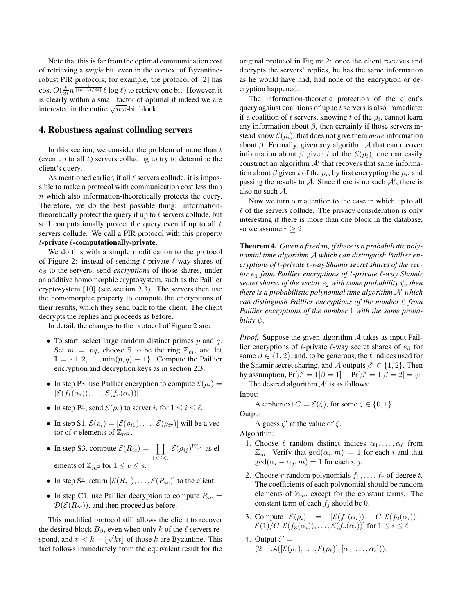Note that this is far from the optimal communication cost of retrieving a *single* bit, even in the context of Byzantinerobust PIR protocols; for example, the protocol of [2] has cost  $O(\frac{k}{3t}n^{\frac{1}{[(k-1)/3t]}} \ell \log \ell)$  to retrieve one bit. However, it is clearly within a small factor of optimal if indeed we are interested in the entire  $\sqrt{nw}$ -bit block.

### **4. Robustness against colluding servers**

In this section, we consider the problem of more than  $t$ (even up to all  $\ell$ ) servers colluding to try to determine the client's query.

As mentioned earlier, if all  $\ell$  servers collude, it is impossible to make a protocol with communication cost less than n which also information-theoretically protects the query. Therefore, we do the best possible thing: informationtheoretically protect the query if up to  $t$  servers collude, but still computationally protect the query even if up to all  $\ell$ servers collude. We call a PIR protocol with this property t**-private** ℓ**-computationally-private**.

We do this with a simple modification to the protocol of Figure 2: instead of sending t-private  $\ell$ -way shares of e<sup>β</sup> to the servers, send *encryptions* of those shares, under an additive homomorphic cryptosystem, such as the Paillier cryptosystem [10] (see section 2.3). The servers then use the homomorphic property to compute the encryptions of their results, which they send back to the client. The client decrypts the replies and proceeds as before.

In detail, the changes to the protocol of Figure 2 are:

- To start, select large random distinct primes  $p$  and  $q$ . Set  $m = pq$ , choose S to be the ring  $\mathbb{Z}_m$ , and let  $\mathbb{I} = \{1, 2, \ldots, \min(p, q) - 1\}$ . Compute the Paillier encryption and decryption keys as in section 2.3.
- In step P3, use Paillier encryption to compute  $\mathcal{E}(\rho_i) =$  $[\mathcal{E}(f_1(\alpha_i)), \ldots, \mathcal{E}(f_r(\alpha_i))].$
- In step P4, send  $\mathcal{E}(\rho_i)$  to server i, for  $1 \leq i \leq \ell$ .
- In step S1,  $\mathcal{E}(\rho_i) = [\mathcal{E}(\rho_{i1}), \dots, \mathcal{E}(\rho_{ir})]$  will be a vector of r elements of  $\mathbb{Z}_{m^2}$ .
- In step S3, compute  $\mathcal{E}(R_{ic}) = \prod$  $1 \leq j \leq r$  $\mathcal{E}(\rho_{ij})^{W_{jc}}$  as elements of  $\mathbb{Z}_{m^2}$  for  $1 \leq c \leq s$ .
- In step S4, return  $[\mathcal{E}(R_{i1}), \ldots, \mathcal{E}(R_{is})]$  to the client.
- In step C1, use Paillier decryption to compute  $R_{ic}$  =  $\mathcal{D}(\mathcal{E}(R_{ic}))$ , and then proceed as before.

This modified protocol still allows the client to recover the desired block  $B_\beta$ , even when only k of the  $\ell$  servers respond, and  $v < k - \lfloor \sqrt{kt} \rfloor$  of those k are Byzantine. This fact follows immediately from the equivalent result for the

original protocol in Figure 2: once the client receives and decrypts the servers' replies, he has the same information as he would have had, had none of the encryption or decryption happened.

The information-theoretic protection of the client's query against coalitions of up to  $t$  servers is also immediate: if a coalition of t servers, knowing t of the  $\rho_i$ , cannot learn any information about  $\beta$ , then certainly if those servers instead know  $\mathcal{E}(\rho_i)$ , that does not give them *more* information about  $\beta$ . Formally, given any algorithm  $\mathcal A$  that can recover information about  $\beta$  given t of the  $\mathcal{E}(\rho_i)$ , one can easily construct an algorithm  $A'$  that recovers that same information about  $\beta$  given t of the  $\rho_i$ , by first encrypting the  $\rho_i$ , and passing the results to  $A$ . Since there is no such  $A'$ , there is also no such A.

Now we turn our attention to the case in which up to all  $\ell$  of the servers collude. The privacy consideration is only interesting if there is more than one block in the database, so we assume  $r \geq 2$ .

**Theorem 4.** *Given a fixed* m*, if there is a probabilistic polynomial time algorithm* A *which can distinguish Paillier encryptions of* t*-private* ℓ*-way Shamir secret shares of the vector* e<sup>1</sup> *from Paillier encryptions of* t*-private* ℓ*-way Shamir secret shares of the vector*  $e_2$  *with some probability*  $\psi$ *, then there is a probabilistic polynomial time algorithm* A′ *which can distinguish Paillier encryptions of the number* 0 *from Paillier encryptions of the number* 1 *with the same probability*  $\psi$ *.* 

*Proof.* Suppose the given algorithm A takes as input Paillier encryptions of t-private  $\ell$ -way secret shares of  $e_{\beta}$  for some  $\beta \in \{1, 2\}$ , and, to be generous, the  $\ell$  indices used for the Shamir secret sharing, and A outputs  $\beta' \in \{1, 2\}$ . Then by assumption,  $Pr[\beta' = 1 | \beta = 1] - Pr[\beta' = 1 | \beta = 2] = \psi$ .

The desired algorithm  $A'$  is as follows: Input:

A ciphertext  $C = \mathcal{E}(\zeta)$ , for some  $\zeta \in \{0, 1\}$ .

Output:

A guess  $\zeta'$  at the value of  $\zeta$ . Algorithm:

- 1. Choose  $\ell$  random distinct indices  $\alpha_1, \ldots, \alpha_\ell$  from  $\mathbb{Z}_m$ . Verify that  $gcd(\alpha_i, m) = 1$  for each i and that  $gcd(\alpha_i - \alpha_j, m) = 1$  for each i, j.
- 2. Choose r random polynomials  $f_1, \ldots, f_r$  of degree t. The coefficients of each polynomial should be random elements of  $\mathbb{Z}_m$ , except for the constant terms. The constant term of each  $f_j$  should be 0.
- 3. Compute  $\mathcal{E}(\rho_i) = [\mathcal{E}(f_1(\alpha_i)) \cdot C, \mathcal{E}(f_2(\alpha_i))$ .  $\mathcal{E}(1)/C, \mathcal{E}(f_3(\alpha_i)), \ldots, \mathcal{E}(f_r(\alpha_i))]$  for  $1 \leq i \leq \ell$ .
- 4. Output  $\zeta' =$  $(2-\mathcal{A}([\mathcal{E}(\rho_1),\ldots,\mathcal{E}(\rho_\ell)],[\alpha_1,\ldots,\alpha_\ell]))$ .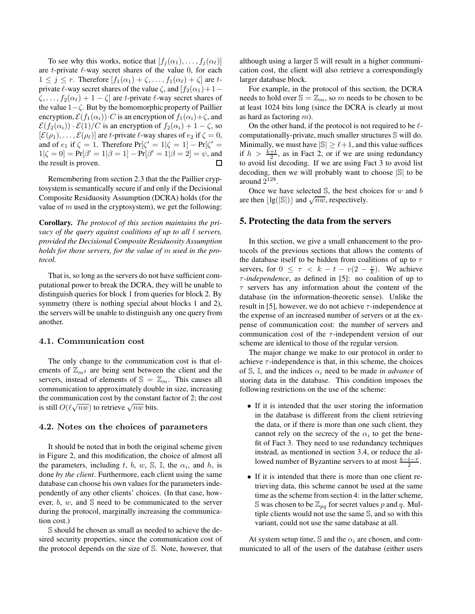To see why this works, notice that  $[f_i(\alpha_1), \ldots, f_i(\alpha_\ell)]$ are  $t$ -private  $\ell$ -way secret shares of the value 0, for each  $1 \leq j \leq r$ . Therefore  $[f_1(\alpha_1) + \zeta, \ldots, f_1(\alpha_\ell) + \zeta]$  are tprivate  $\ell$ -way secret shares of the value  $\zeta$ , and  $[f_2(\alpha_1)+1 \zeta, \ldots, f_2(\alpha_\ell) + 1 - \zeta$  are t-private  $\ell$ -way secret shares of the value  $1-\zeta$ . But by the homomorphic property of Paillier encryption,  $\mathcal{E}(f_1(\alpha_i))\cdot C$  is an encryption of  $f_1(\alpha_i)+\zeta$ , and  $\mathcal{E}(f_2(\alpha_i)) \cdot \mathcal{E}(1)/C$  is an encryption of  $f_2(\alpha_i) + 1 - \zeta$ , so  $[\mathcal{E}(\rho_1), \dots, \mathcal{E}(\rho_\ell)]$  are t-private  $\ell$ -way shares of  $e_2$  if  $\zeta = 0$ , and of  $e_1$  if  $\zeta = 1$ . Therefore  $Pr[\zeta' = 1 | \zeta = 1] - Pr[\zeta' =$  $1|\zeta = 0] = Pr[\beta' = 1|\beta = 1] - Pr[\beta' = 1|\beta = 2] = \psi$ , and the result is proven.

Remembering from section 2.3 that the the Paillier cryptosystem is semantically secure if and only if the Decisional Composite Residuosity Assumption (DCRA) holds (for the value of  $m$  used in the cryptosystem), we get the following:

**Corollary.** *The protocol of this section maintains the privacy of the query against coalitions of up to all*  $\ell$  *servers, provided the Decisional Composite Residuosity Assumption holds for those servers, for the value of* m *used in the protocol.*

That is, so long as the servers do not have sufficient computational power to break the DCRA, they will be unable to distinguish queries for block 1 from queries for block 2. By symmetry (there is nothing special about blocks 1 and 2), the servers will be unable to distinguish any one query from another.

#### 4.1. Communication cost

The only change to the communication cost is that elements of  $\mathbb{Z}_{m^2}$  are being sent between the client and the servers, instead of elements of  $\mathbb{S} = \mathbb{Z}_m$ . This causes all communication to approximately double in size, increasing the communication cost by the constant factor of 2; the cost is still  $O(\ell \sqrt{nw})$  to retrieve  $\sqrt{nw}$  bits.

#### 4.2. Notes on the choices of parameters

It should be noted that in both the original scheme given in Figure 2, and this modification, the choice of almost all the parameters, including t, b, w,  $\mathbb{S}$ ,  $\mathbb{I}$ , the  $\alpha_i$ , and h, is done *by the client*. Furthermore, each client using the same database can choose his own values for the parameters independently of any other clients' choices. (In that case, however,  $b, w$ , and  $\mathbb S$  need to be communicated to the server during the protocol, marginally increasing the communication cost.)

S should be chosen as small as needed to achieve the desired security properties, since the communication cost of the protocol depends on the size of S. Note, however, that although using a larger S will result in a higher communication cost, the client will also retrieve a correspondingly larger database block.

For example, in the protocol of this section, the DCRA needs to hold over  $\mathbb{S} = \mathbb{Z}_m$ , so m needs to be chosen to be at least 1024 bits long (since the DCRA is clearly at most as hard as factoring  $m$ ).

On the other hand, if the protocol is not required to be  $\ell$ computationally-private, much smaller structures S will do. Minimally, we must have  $|\mathbb{S}| \geq \ell + 1$ , and this value suffices if  $h > \frac{k+t}{2}$ , as in Fact 2, or if we are using redundancy to avoid list decoding. If we are using Fact 3 to avoid list decoding, then we will probably want to choose <sup>|</sup>S<sup>|</sup> to be around  $2^{128}$ .

Once we have selected  $\mathbb{S}$ , the best choices for w and b are then  $\lfloor \lg(|\mathbb{S}|) \rfloor$  and  $\sqrt{nw}$ , respectively.

#### **5. Protecting the data from the servers**

In this section, we give a small enhancement to the protocols of the previous sections that allows the contents of the database itself to be hidden from coalitions of up to  $\tau$ servers, for  $0 \leq \tau < k - t - v(2 - \frac{v}{k})$ . We achieve τ*-independence*, as defined in [5]: no coalition of up to  $\tau$  servers has any information about the content of the database (in the information-theoretic sense). Unlike the result in [5], however, we do not achieve  $\tau$ -independence at the expense of an increased number of servers or at the expense of communication cost: the number of servers and communication cost of the  $\tau$ -independent version of our scheme are identical to those of the regular version.

The major change we make to our protocol in order to achieve  $\tau$ -independence is that, in this scheme, the choices of  $\mathbb{S}$ ,  $\mathbb{I}$ , and the indices  $\alpha_i$  need to be made *in advance* of storing data in the database. This condition imposes the following restrictions on the use of the scheme:

- If it is intended that the user storing the information in the database is different from the client retrieving the data, or if there is more than one such client, they cannot rely on the secrecy of the  $\alpha_i$  to get the benefit of Fact 3. They need to use redundancy techniques instead, as mentioned in section 3.4, or reduce the allowed number of Byzantine servers to at most  $\frac{k-t-\tau}{2}$ .
- If it is intended that there is more than one client retrieving data, this scheme cannot be used at the same time as the scheme from section 4: in the latter scheme, S was chosen to be  $\mathbb{Z}_{pq}$  for secret values p and q. Multiple clients would not use the same S, and so with this variant, could not use the same database at all.

At system setup time,  $\mathbb S$  and the  $\alpha_i$  are chosen, and communicated to all of the users of the database (either users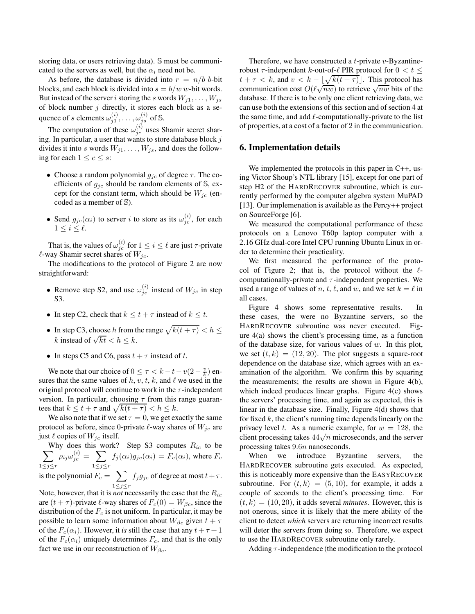storing data, or users retrieving data). S must be communicated to the servers as well, but the  $\alpha_i$  need not be.

As before, the database is divided into  $r = n/b$  b-bit blocks, and each block is divided into  $s = b/w$  w-bit words. But instead of the server i storing the s words  $W_{j1}, \ldots, W_{js}$ of block number  $j$  directly, it stores each block as a sequence of s elements  $\omega_{j1}^{(i)}, \ldots, \omega_{js}^{(i)}$  of S.

The computation of these  $\omega_{jc}^{(i)}$  uses Shamir secret sharing. In particular, a user that wants to store database block  $j$ divides it into s words  $W_{j1}, \ldots, W_{js}$ , and does the following for each  $1 \leq c \leq s$ :

- Choose a random polynomial  $g_{jc}$  of degree  $\tau$ . The coefficients of  $g_{jc}$  should be random elements of S, except for the constant term, which should be  $W_{ic}$  (encoded as a member of S).
- Send  $g_{jc}(\alpha_i)$  to server i to store as its  $\omega_{jc}^{(i)}$ , for each  $1 \leq i \leq \ell$ .

That is, the values of  $\omega_{jc}^{(i)}$  for  $1 \le i \le \ell$  are just  $\tau$ -private  $\ell$ -way Shamir secret shares of  $W_{jc}$ .

The modifications to the protocol of Figure 2 are now straightforward:

- Remove step S2, and use  $\omega_{jc}^{(i)}$  instead of  $W_{jc}$  in step S3.
- In step C2, check that  $k \le t + \tau$  instead of  $k \le t$ .
- In step C3, choose h from the range  $\sqrt{k(t + \tau)} < h \leq$ k instead of  $\sqrt{kt} < h \leq k$ .
- In steps C5 and C6, pass  $t + \tau$  instead of t.

We note that our choice of  $0 \leq \tau < k - t - v(2 - \frac{v}{k})$  ensures that the same values of h, v, t, k, and  $\ell$  we used in the original protocol will continue to work in the  $\tau$ -independent version. In particular, choosing  $\tau$  from this range guarantees that  $k \le t + \tau$  and  $\sqrt{k(t + \tau)} < h \le k$ .

We also note that if we set  $\tau = 0$ , we get exactly the same protocol as before, since 0-private  $\ell$ -way shares of  $W_{ic}$  are just  $\ell$  copies of  $W_{ic}$  itself.

 $\sum$ Why does this work? Step S3 computes  $R_{ic}$  to be  $1 \leq j \leq r$  $\rho_{ij}\omega_{jc}^{(i)}= \sum$  $1 \leq j \leq r$  $f_j(\alpha_i)g_{jc}(\alpha_i) = F_c(\alpha_i)$ , where  $F_c$ is the polynomial  $F_c = \sum$  $1 \leq j \leq r$  $f_j g_{jc}$  of degree at most  $t+\tau$ .

Note, however, that it is *not* necessarily the case that the Ric are  $(t + \tau)$ -private  $\ell$ -way shares of  $F_c(0) = W_{\beta c}$ , since the distribution of the  $F_c$  is not uniform. In particular, it may be possible to learn some information about  $W_{\beta c}$  given  $t + \tau$ of the  $F_c(\alpha_i)$ . However, it *is* still the case that any  $t + \tau + 1$ of the  $F_c(\alpha_i)$  uniquely determines  $F_c$ , and that is the only fact we use in our reconstruction of  $W_{\beta c}$ .

Therefore, we have constructed a *t*-private  $v$ -Byzantinerobust  $\tau$ -independent k-out-of- $\ell$  PIR protocol for  $0 < t \leq$  $t + \tau < k$ , and  $v < k - \lfloor \sqrt{k(t + \tau)} \rfloor$ . This protocol has communication cost  $O(\ell \sqrt{nw})$  to retrieve  $\sqrt{nw}$  bits of the database. If there is to be only one client retrieving data, we can use both the extensions of this section and of section 4 at the same time, and add  $\ell$ -computationally-private to the list of properties, at a cost of a factor of 2 in the communication.

# **6. Implementation details**

We implemented the protocols in this paper in C++, using Victor Shoup's NTL library [15], except for one part of step H2 of the HARDRECOVER subroutine, which is currently performed by the computer algebra system MuPAD [13]. Our implemenation is available as the Percy++ project on SourceForge [6].

We measured the computational performance of these protocols on a Lenovo T60p laptop computer with a 2.16 GHz dual-core Intel CPU running Ubuntu Linux in order to determine their practicality.

We first measured the performance of the protocol of Figure 2; that is, the protocol without the  $\ell$ computationally-private and  $\tau$ -independent properties. We used a range of values of n, t,  $\ell$ , and w, and we set  $k = \ell$  in all cases.

Figure 4 shows some representative results. In these cases, the were no Byzantine servers, so the HARDRECOVER subroutine was never executed. Figure 4(a) shows the client's processing time, as a function of the database size, for various values of  $w$ . In this plot, we set  $(t, k) = (12, 20)$ . The plot suggests a square-root dependence on the database size, which agrees with an examination of the algorithm. We confirm this by squaring the measurements; the results are shown in Figure 4(b), which indeed produces linear graphs. Figure 4(c) shows the servers' processing time, and again as expected, this is linear in the database size. Finally, Figure 4(d) shows that for fixed  $k$ , the client's running time depends linearly on the privacy level t. As a numeric example, for  $w = 128$ , the client processing takes  $44\sqrt{n}$  microseconds, and the server processing takes 9.6n nanoseconds.

When we introduce Byzantine servers, the HARDRECOVER subroutine gets executed. As expected, this is noticeably more expensive than the EASYRECOVER subroutine. For  $(t, k) = (5, 10)$ , for example, it adds a couple of seconds to the client's processing time. For  $(t, k) = (10, 20)$ , it adds several *minutes*. However, this is not onerous, since it is likely that the mere ability of the client to detect *which* servers are returning incorrect results will deter the servers from doing so. Therefore, we expect to use the HARDRECOVER subroutine only rarely.

Adding  $\tau$ -independence (the modification to the protocol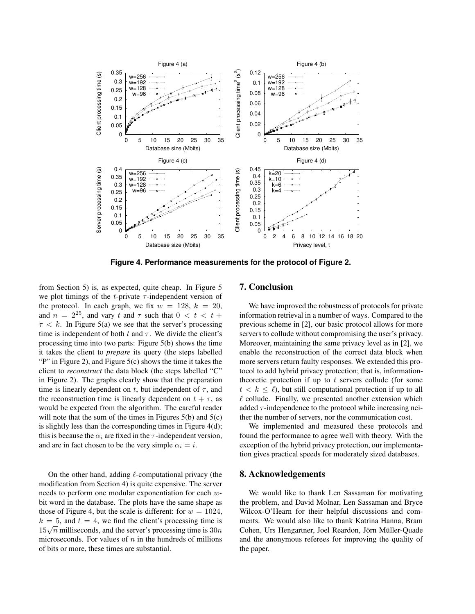

**Figure 4. Performance measurements for the protocol of Figure 2.**

from Section 5) is, as expected, quite cheap. In Figure 5 we plot timings of the t-private  $\tau$ -independent version of the protocol. In each graph, we fix  $w = 128$ ,  $k = 20$ , and  $n = 2^{25}$ , and vary t and  $\tau$  such that  $0 < t < t +$  $\tau < k$ . In Figure 5(a) we see that the server's processing time is independent of both t and  $\tau$ . We divide the client's processing time into two parts: Figure 5(b) shows the time it takes the client to *prepare* its query (the steps labelled "P" in Figure 2), and Figure 5(c) shows the time it takes the client to *reconstruct* the data block (the steps labelled "C" in Figure 2). The graphs clearly show that the preparation time is linearly dependent on t, but independent of  $\tau$ , and the reconstruction time is linearly dependent on  $t + \tau$ , as would be expected from the algorithm. The careful reader will note that the sum of the times in Figures  $5(b)$  and  $5(c)$ is slightly less than the corresponding times in Figure 4(d); this is because the  $\alpha_i$  are fixed in the  $\tau$ -independent version, and are in fact chosen to be the very simple  $\alpha_i = i$ .

On the other hand, adding  $\ell$ -computational privacy (the modification from Section 4) is quite expensive. The server needs to perform one modular exponentiation for each wbit word in the database. The plots have the same shape as those of Figure 4, but the scale is different: for  $w = 1024$ ,  $k = 5$ , and  $t = 4$ , we find the client's processing time is  $15\sqrt{n}$  milliseconds, and the server's processing time is  $30n$ microseconds. For values of  $n$  in the hundreds of millions of bits or more, these times are substantial.

# **7. Conclusion**

We have improved the robustness of protocols for private information retrieval in a number of ways. Compared to the previous scheme in [2], our basic protocol allows for more servers to collude without compromising the user's privacy. Moreover, maintaining the same privacy level as in [2], we enable the reconstruction of the correct data block when more servers return faulty responses. We extended this protocol to add hybrid privacy protection; that is, informationtheoretic protection if up to  $t$  servers collude (for some  $t < k < \ell$ ), but still computational protection if up to all  $\ell$  collude. Finally, we presented another extension which added  $\tau$ -independence to the protocol while increasing neither the number of servers, nor the communication cost.

We implemented and measured these protocols and found the performance to agree well with theory. With the exception of the hybrid privacy protection, our implementation gives practical speeds for moderately sized databases.

### **8. Acknowledgements**

We would like to thank Len Sassaman for motivating the problem, and David Molnar, Len Sassaman and Bryce Wilcox-O'Hearn for their helpful discussions and comments. We would also like to thank Katrina Hanna, Bram Cohen, Urs Hengartner, Joel Reardon, Jörn Müller-Ouade and the anonymous referees for improving the quality of the paper.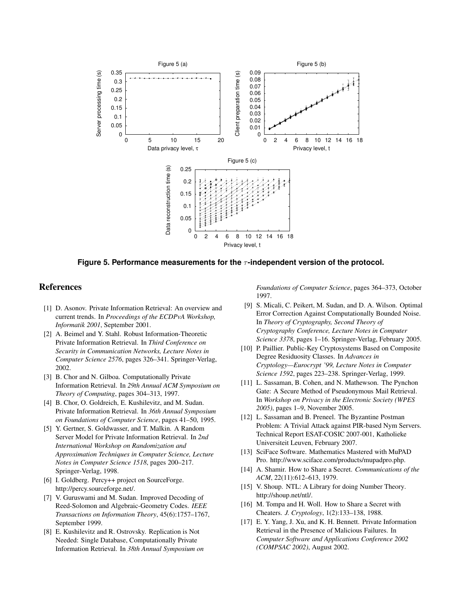

**Figure 5. Performance measurements for the** τ**-independent version of the protocol.**

# **References**

- [1] D. Asonov. Private Information Retrieval: An overview and current trends. In *Proceedings of the ECDPvA Workshop, Informatik 2001*, September 2001.
- [2] A. Beimel and Y. Stahl. Robust Information-Theoretic Private Information Retrieval. In *Third Conference on Security in Communication Networks, Lecture Notes in Computer Science 2576*, pages 326–341. Springer-Verlag, 2002.
- [3] B. Chor and N. Gilboa. Computationally Private Information Retrieval. In *29th Annual ACM Symposium on Theory of Computing*, pages 304–313, 1997.
- [4] B. Chor, O. Goldreich, E. Kushilevitz, and M. Sudan. Private Information Retrieval. In *36th Annual Symposium on Foundations of Computer Science*, pages 41–50, 1995.
- [5] Y. Gertner, S. Goldwasser, and T. Malkin. A Random Server Model for Private Information Retrieval. In *2nd International Workshop on Randomization and Approximation Techniques in Computer Science, Lecture Notes in Computer Science 1518*, pages 200–217. Springer-Verlag, 1998.
- [6] I. Goldberg. Percy++ project on SourceForge. http://percy.sourceforge.net/.
- [7] V. Guruswami and M. Sudan. Improved Decoding of Reed-Solomon and Algebraic-Geometry Codes. *IEEE Transactions on Information Theory*, 45(6):1757–1767, September 1999.
- [8] E. Kushilevitz and R. Ostrovsky. Replication is Not Needed: Single Database, Computationally Private Information Retrieval. In *38th Annual Symposium on*

*Foundations of Computer Science*, pages 364–373, October 1997.

- [9] S. Micali, C. Peikert, M. Sudan, and D. A. Wilson. Optimal Error Correction Against Computationally Bounded Noise. In *Theory of Cryptography, Second Theory of Cryptography Conference, Lecture Notes in Computer Science 3378*, pages 1–16. Springer-Verlag, February 2005.
- [10] P. Paillier. Public-Key Cryptosystems Based on Composite Degree Residuosity Classes. In *Advances in Cryptology—Eurocrypt '99, Lecture Notes in Computer Science 1592*, pages 223–238. Springer-Verlag, 1999.
- [11] L. Sassaman, B. Cohen, and N. Mathewson. The Pynchon Gate: A Secure Method of Pseudonymous Mail Retrieval. In *Workshop on Privacy in the Electronic Society (WPES 2005)*, pages 1–9, November 2005.
- [12] L. Sassaman and B. Preneel. The Byzantine Postman Problem: A Trivial Attack against PIR-based Nym Servers. Technical Report ESAT-COSIC 2007-001, Katholieke Universiteit Leuven, February 2007.
- [13] SciFace Software. Mathematics Mastered with MuPAD Pro. http://www.sciface.com/products/mupadpro.php.
- [14] A. Shamir. How to Share a Secret. *Communications of the ACM*, 22(11):612–613, 1979.
- [15] V. Shoup. NTL: A Library for doing Number Theory. http://shoup.net/ntl/.
- [16] M. Tompa and H. Woll. How to Share a Secret with Cheaters. *J. Cryptology*, 1(2):133–138, 1988.
- [17] E. Y. Yang, J. Xu, and K. H. Bennett. Private Information Retrieval in the Presence of Malicious Failures. In *Computer Software and Applications Conference 2002 (COMPSAC 2002)*, August 2002.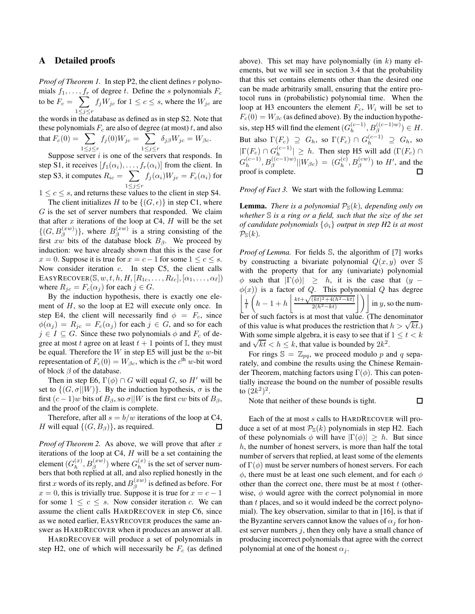### **A Detailed proofs**

*Proof of Theorem 1.* In step P2, the client defines r polynomials  $f_1, \ldots, f_r$  of degree t. Define the s polynomials  $F_c$ to be  $F_c = \sum$  $1 \leq j \leq r$  $f_jW_{jc}$  for  $1 \leq c \leq s$ , where the  $W_{jc}$  are

the words in the database as defined as in step S2. Note that these polynomials  $F_c$  are also of degree (at most) t, and also

that 
$$
F_c(0) = \sum_{1 \le j \le r} f_j(0)W_{jc} = \sum_{1 \le j \le r} \delta_{j\beta}W_{jc} = W_{\beta c}
$$
.  
Suppose some *i* is one of the source that reproduces

Suppose server  $i$  is one of the servers that responds. In step S1, it receives  $[f_1(\alpha_i), \ldots, f_r(\alpha_i)]$  from the client. In step S3, it computes  $R_{ic} = \sum$  $1 \leq j \leq r$  $f_j(\alpha_i)W_{jc} = F_c(\alpha_i)$  for

 $1 \leq c \leq s$ , and returns these values to the client in step S4.

The client initializes H to be  $\{(G, \epsilon)\}\$ in step C1, where  $G$  is the set of server numbers that responded. We claim that after  $x$  iterations of the loop at C4,  $H$  will be the set  $\{(G, B_{\beta}^{(xw)})\}\)$ , where  $B_{\beta}^{(xw)}$  is a string consisting of the first xw bits of the database block  $B_{\beta}$ . We proceed by induction: we have already shown that this is the case for  $x = 0$ . Suppose it is true for  $x = c - 1$  for some  $1 \leq c \leq s$ . Now consider iteration c. In step C5, the client calls EASYRECOVER( $\mathbb{S}, w, t, h, H, [R_{1c}, \ldots, R_{\ell c}], [\alpha_1, \ldots, \alpha_{\ell}]$ ) where  $R_{jc} = F_c(\alpha_j)$  for each  $j \in G$ .

By the induction hypothesis, there is exactly one element of H, so the loop at E2 will execute only once. In step E4, the client will necessarily find  $\phi = F_c$ , since  $\phi(\alpha_i) = R_{ic} = F_c(\alpha_i)$  for each  $j \in G$ , and so for each  $j \in I \subseteq G$ . Since these two polynomials  $\phi$  and  $F_c$  of degree at most t agree on at least  $t + 1$  points of I, they must be equal. Therefore the  $W$  in step E5 will just be the w-bit representation of  $F_c(0) = W_{\beta c}$ , which is the  $c^{\text{th}}$  w-bit word of block  $\beta$  of the database.

Then in step E6,  $\Gamma(\phi) \cap G$  will equal G, so H' will be set to  $\{(G, \sigma||W)\}\)$ . By the induction hypothesis,  $\sigma$  is the first  $(c-1)w$  bits of  $B_\beta$ , so  $\sigma||W$  is the first cw bits of  $B_\beta$ , and the proof of the claim is complete.

Therefore, after all  $s = b/w$  iterations of the loop at C4, H will equal  $\{(G, B_{\beta})\}\)$ , as required.  $\Box$ 

*Proof of Theorem 2.* As above, we will prove that after  $x$ iterations of the loop at  $C4$ ,  $H$  will be a set containing the element  $(G_h^{(x)}, B_\beta^{(xw)})$  where  $G_h^{(x)}$  is the set of server numbers that both replied at all, and also replied honestly in the first  $x$  words of its reply, and  $B^{(xw)}_{\beta}$  is defined as before. For  $x = 0$ , this is trivially true. Suppose it is true for  $x = c - 1$ for some  $1 \leq c \leq s$ . Now consider iteration c. We can assume the client calls HARDRECOVER in step C6, since as we noted earlier, EASYRECOVER produces the same answer as HARDRECOVER when it produces an answer at all.

HARDRECOVER will produce a set of polynomials in step H2, one of which will necessarily be  $F_c$  (as defined above). This set may have polynomially (in  $k$ ) many elements, but we will see in section 3.4 that the probability that this set contains elements other than the desired one can be made arbitrarily small, ensuring that the entire protocol runs in (probabilistic) polynomial time. When the loop at H3 encounters the element  $F_c$ ,  $W_i$  will be set to  $F_c(0) = W_{\beta c}$  (as defined above). By the induction hypothesis, step H5 will find the element  $(G_h^{(c-1)}, B_\beta^{((c-1)w)}) \in H$ . But also  $\Gamma(F_c) \supseteq G_h$ , so  $\Gamma(F_c) \cap G_h^{(c-1)} \supseteq G_h$ , so  $|\Gamma(F_c) \cap G_h^{(c-1)}| \geq h$ . Then step H5 will add  $(\Gamma(F_c) \cap$  $G_h^{(c-1)}, B_\beta^{((c-1)w)}||W_{\beta c}) = (G_h^{(c)}, B_\beta^{(cw)})$  to  $H'$ , and the proof is complete.

*Proof of Fact 3.* We start with the following Lemma:

**Lemma.** *There is a polynomial*  $P_{\mathcal{S}}(k)$ *, depending only on whether* S *is a ring or a field, such that the size of the set of candidate polynomials*  $\{\phi_i\}$  *output in step H2 is at most*  $\mathcal{P}_{\mathbb{S}}(k)$ .

*Proof of Lemma.* For fields S, the algorithm of [7] works by constructing a bivariate polynomial  $Q(x, y)$  over S with the property that for any (univariate) polynomial  $\phi$  such that  $|\Gamma(\phi)|$  > h, it is the case that  $(y \phi(x)$ ) is a factor of Q. This polynomial Q has degree  $\frac{1}{t}$  $\left(h-1+h\right)\frac{kt+\sqrt{(kt)^2+4(h^2-kt)}}{2(h^2-kt)}$  $\left\lfloor \frac{(kt)^2 + 4(h^2 - kt)}{2(h^2 - kt)} \right\rfloor$  in y, so the number of such factors is at most that value. (The denominator of this value is what produces the restriction that  $h > \sqrt{kt}$ .) With some simple algebra, it is easy to see that if  $1 \le t \le k$ what some simple algebra, it is easy to see that if and  $\sqrt{kt} < h \leq k$ , that value is bounded by  $2k^2$ .

For rings  $\mathbb{S} = \mathbb{Z}_{pq}$ , we proceed modulo p and q separately, and combine the results using the Chinese Remainder Theorem, matching factors using  $\Gamma(\phi)$ . This can potentially increase the bound on the number of possible results to  $(2k^2)^2$ .

口

Note that neither of these bounds is tight.

Each of the at most s calls to HARDRECOVER will produce a set of at most  $P_{\mathcal{S}}(k)$  polynomials in step H2. Each of these polynomials  $\phi$  will have  $|\Gamma(\phi)| \geq h$ . But since  $h$ , the number of honest servers, is more than half the total number of servers that replied, at least some of the elements of  $\Gamma(\phi)$  must be server numbers of honest servers. For each  $\phi$ , there must be at least one such element, and for each  $\phi$ other than the correct one, there must be at most  $t$  (otherwise,  $\phi$  would agree with the correct polynomial in more than  $t$  places, and so it would indeed be the correct polynomial). The key observation, similar to that in [16], is that if the Byzantine servers cannot know the values of  $\alpha_i$  for honest server numbers  $i$ , then they only have a small chance of producing incorrect polynomials that agree with the correct polynomial at one of the honest  $\alpha_i$ .